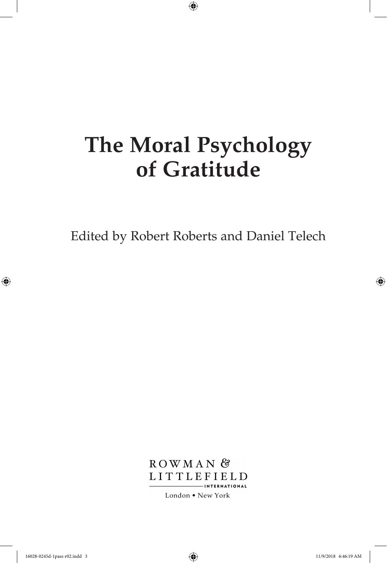# **The Moral Psychology of Gratitude**

 $\bigoplus$ 

Edited by Robert Roberts and Daniel Telech

ROWMAN<sup>&</sup> LITTLEFIELD **NATERNATIONAL** 

London . New York

 $\bigoplus$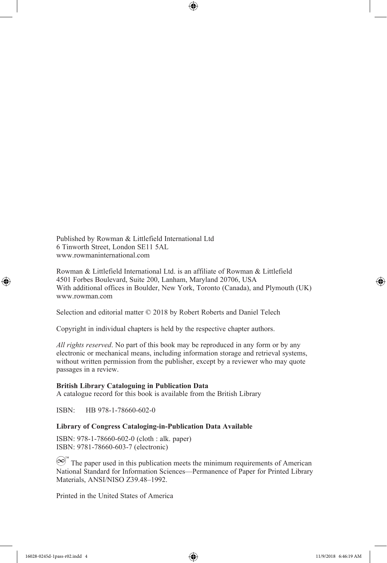Published by Rowman & Littlefield International Ltd 6 Tinworth Street, London SE11 5AL www.rowmaninternational.com

Rowman & Littlefield International Ltd. is an affiliate of Rowman & Littlefield 4501 Forbes Boulevard, Suite 200, Lanham, Maryland 20706, USA With additional offices in Boulder, New York, Toronto (Canada), and Plymouth (UK) www.rowman.com

⊕

Selection and editorial matter © 2018 by Robert Roberts and Daniel Telech

Copyright in individual chapters is held by the respective chapter authors.

*All rights reserved*. No part of this book may be reproduced in any form or by any electronic or mechanical means, including information storage and retrieval systems, without written permission from the publisher, except by a reviewer who may quote passages in a review.

#### **British Library Cataloguing in Publication Data**

A catalogue record for this book is available from the British Library

ISBN: HB 978-1-78660-602-0

#### **Library of Congress Cataloging-in-Publication Data Available**

ISBN: 978-1-78660-602-0 (cloth : alk. paper) ISBN: 9781-78660-603-7 (electronic)

 $\infty$ <sup>n</sup> The paper used in this publication meets the minimum requirements of American National Standard for Information Sciences—Permanence of Paper for Printed Library Materials, ANSI/NISO Z39.48–1992.

Printed in the United States of America

16028-0245d-1pass-r02.indd 4 11/9/2018 6:46:19 AM

⊕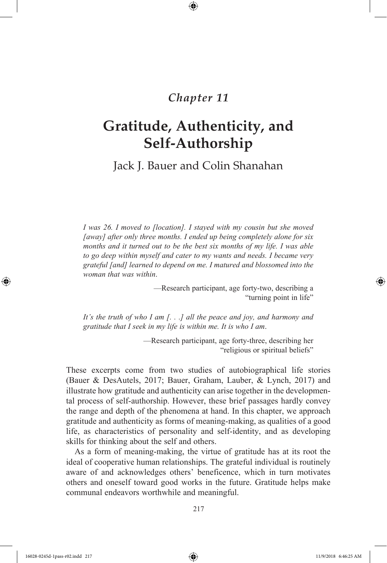⊕

# **Gratitude, Authenticity, and Self-Authorship**

Jack J. Bauer and Colin Shanahan

*I was 26. I moved to [location]. I stayed with my cousin but she moved [away] after only three months. I ended up being completely alone for six months and it turned out to be the best six months of my life. I was able to go deep within myself and cater to my wants and needs. I became very grateful [and] learned to depend on me. I matured and blossomed into the woman that was within*.

> —Research participant, age forty-two, describing a "turning point in life"

*It's the truth of who I am [. . .] all the peace and joy, and harmony and gratitude that I seek in my life is within me. It is who I am*.

> —Research participant, age forty-three, describing her "religious or spiritual beliefs"

These excerpts come from two studies of autobiographical life stories (Bauer & DesAutels, 2017; Bauer, Graham, Lauber, & Lynch, 2017) and illustrate how gratitude and authenticity can arise together in the developmental process of self-authorship. However, these brief passages hardly convey the range and depth of the phenomena at hand. In this chapter, we approach gratitude and authenticity as forms of meaning-making, as qualities of a good life, as characteristics of personality and self-identity, and as developing skills for thinking about the self and others.

As a form of meaning-making, the virtue of gratitude has at its root the ideal of cooperative human relationships. The grateful individual is routinely aware of and acknowledges others' beneficence, which in turn motivates others and oneself toward good works in the future. Gratitude helps make communal endeavors worthwhile and meaningful.

⊕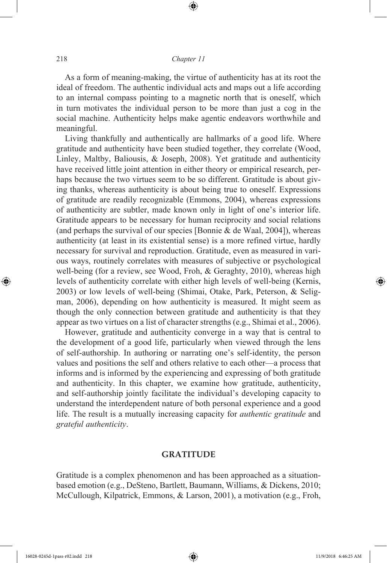⊕

As a form of meaning-making, the virtue of authenticity has at its root the ideal of freedom. The authentic individual acts and maps out a life according to an internal compass pointing to a magnetic north that is oneself, which in turn motivates the individual person to be more than just a cog in the social machine. Authenticity helps make agentic endeavors worthwhile and meaningful.

Living thankfully and authentically are hallmarks of a good life. Where gratitude and authenticity have been studied together, they correlate (Wood, Linley, Maltby, Baliousis, & Joseph, 2008). Yet gratitude and authenticity have received little joint attention in either theory or empirical research, perhaps because the two virtues seem to be so different. Gratitude is about giving thanks, whereas authenticity is about being true to oneself. Expressions of gratitude are readily recognizable (Emmons, 2004), whereas expressions of authenticity are subtler, made known only in light of one's interior life. Gratitude appears to be necessary for human reciprocity and social relations (and perhaps the survival of our species [Bonnie  $&$  de Waal, 2004]), whereas authenticity (at least in its existential sense) is a more refined virtue, hardly necessary for survival and reproduction. Gratitude, even as measured in various ways, routinely correlates with measures of subjective or psychological well-being (for a review, see Wood, Froh, & Geraghty, 2010), whereas high levels of authenticity correlate with either high levels of well-being (Kernis, 2003) or low levels of well-being (Shimai, Otake, Park, Peterson, & Seligman, 2006), depending on how authenticity is measured. It might seem as though the only connection between gratitude and authenticity is that they appear as two virtues on a list of character strengths (e.g., Shimai et al., 2006).

However, gratitude and authenticity converge in a way that is central to the development of a good life, particularly when viewed through the lens of self-authorship. In authoring or narrating one's self-identity, the person values and positions the self and others relative to each other—a process that informs and is informed by the experiencing and expressing of both gratitude and authenticity. In this chapter, we examine how gratitude, authenticity, and self-authorship jointly facilitate the individual's developing capacity to understand the interdependent nature of both personal experience and a good life. The result is a mutually increasing capacity for *authentic gratitude* and *grateful authenticity*.

# **GRATITUDE**

Gratitude is a complex phenomenon and has been approached as a situationbased emotion (e.g., DeSteno, Bartlett, Baumann, Williams, & Dickens, 2010; McCullough, Kilpatrick, Emmons, & Larson, 2001), a motivation (e.g., Froh,

⊕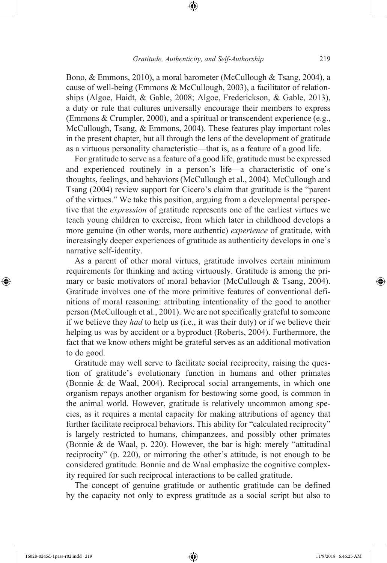Bono, & Emmons, 2010), a moral barometer (McCullough & Tsang, 2004), a cause of well-being (Emmons & McCullough, 2003), a facilitator of relationships (Algoe, Haidt, & Gable, 2008; Algoe, Frederickson, & Gable, 2013), a duty or rule that cultures universally encourage their members to express (Emmons & Crumpler, 2000), and a spiritual or transcendent experience (e.g., McCullough, Tsang, & Emmons, 2004). These features play important roles in the present chapter, but all through the lens of the development of gratitude as a virtuous personality characteristic—that is, as a feature of a good life.

For gratitude to serve as a feature of a good life, gratitude must be expressed and experienced routinely in a person's life—a characteristic of one's thoughts, feelings, and behaviors (McCullough et al., 2004). McCullough and Tsang (2004) review support for Cicero's claim that gratitude is the "parent of the virtues." We take this position, arguing from a developmental perspective that the *expression* of gratitude represents one of the earliest virtues we teach young children to exercise, from which later in childhood develops a more genuine (in other words, more authentic) *experience* of gratitude, with increasingly deeper experiences of gratitude as authenticity develops in one's narrative self-identity.

As a parent of other moral virtues, gratitude involves certain minimum requirements for thinking and acting virtuously. Gratitude is among the primary or basic motivators of moral behavior (McCullough & Tsang, 2004). Gratitude involves one of the more primitive features of conventional definitions of moral reasoning: attributing intentionality of the good to another person (McCullough et al., 2001). We are not specifically grateful to someone if we believe they *had* to help us (i.e., it was their duty) or if we believe their helping us was by accident or a byproduct (Roberts, 2004). Furthermore, the fact that we know others might be grateful serves as an additional motivation to do good.

Gratitude may well serve to facilitate social reciprocity, raising the question of gratitude's evolutionary function in humans and other primates (Bonnie & de Waal, 2004). Reciprocal social arrangements, in which one organism repays another organism for bestowing some good, is common in the animal world. However, gratitude is relatively uncommon among species, as it requires a mental capacity for making attributions of agency that further facilitate reciprocal behaviors. This ability for "calculated reciprocity" is largely restricted to humans, chimpanzees, and possibly other primates (Bonnie & de Waal, p. 220). However, the bar is high: merely "attitudinal reciprocity" (p. 220), or mirroring the other's attitude, is not enough to be considered gratitude. Bonnie and de Waal emphasize the cognitive complexity required for such reciprocal interactions to be called gratitude.

The concept of genuine gratitude or authentic gratitude can be defined by the capacity not only to express gratitude as a social script but also to

 $\bigoplus$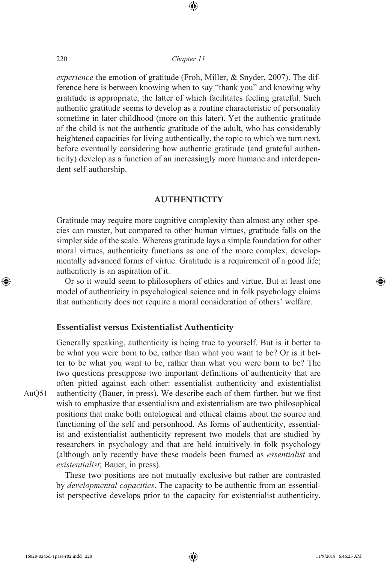⊕

*experience* the emotion of gratitude (Froh, Miller, & Snyder, 2007). The difference here is between knowing when to say "thank you" and knowing why gratitude is appropriate, the latter of which facilitates feeling grateful. Such authentic gratitude seems to develop as a routine characteristic of personality sometime in later childhood (more on this later). Yet the authentic gratitude of the child is not the authentic gratitude of the adult, who has considerably heightened capacities for living authentically, the topic to which we turn next, before eventually considering how authentic gratitude (and grateful authenticity) develop as a function of an increasingly more humane and interdependent self-authorship.

# **AUTHENTICITY**

Gratitude may require more cognitive complexity than almost any other species can muster, but compared to other human virtues, gratitude falls on the simpler side of the scale. Whereas gratitude lays a simple foundation for other moral virtues, authenticity functions as one of the more complex, developmentally advanced forms of virtue. Gratitude is a requirement of a good life; authenticity is an aspiration of it.

Or so it would seem to philosophers of ethics and virtue. But at least one model of authenticity in psychological science and in folk psychology claims that authenticity does not require a moral consideration of others' welfare.

#### **Essentialist versus Existentialist Authenticity**

Generally speaking, authenticity is being true to yourself. But is it better to be what you were born to be, rather than what you want to be? Or is it better to be what you want to be, rather than what you were born to be? The two questions presuppose two important definitions of authenticity that are often pitted against each other: essentialist authenticity and existentialist authenticity (Bauer, in press). We describe each of them further, but we first wish to emphasize that essentialism and existentialism are two philosophical positions that make both ontological and ethical claims about the source and functioning of the self and personhood. As forms of authenticity, essentialist and existentialist authenticity represent two models that are studied by researchers in psychology and that are held intuitively in folk psychology (although only recently have these models been framed as *essentialist* and *existentialist*; Bauer, in press).

These two positions are not mutually exclusive but rather are contrasted by *developmental capacities*. The capacity to be authentic from an essentialist perspective develops prior to the capacity for existentialist authenticity.

AuQ51

⊕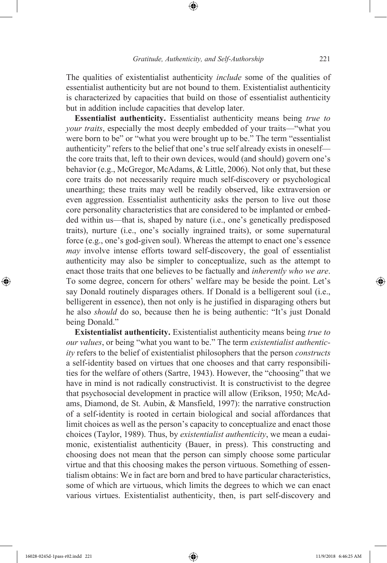The qualities of existentialist authenticity *include* some of the qualities of essentialist authenticity but are not bound to them. Existentialist authenticity is characterized by capacities that build on those of essentialist authenticity but in addition include capacities that develop later.

**Essentialist authenticity.** Essentialist authenticity means being *true to your traits*, especially the most deeply embedded of your traits—"what you were born to be" or "what you were brought up to be." The term "essentialist authenticity" refers to the belief that one's true self already exists in oneself the core traits that, left to their own devices, would (and should) govern one's behavior (e.g., McGregor, McAdams, & Little, 2006). Not only that, but these core traits do not necessarily require much self-discovery or psychological unearthing; these traits may well be readily observed, like extraversion or even aggression. Essentialist authenticity asks the person to live out those core personality characteristics that are considered to be implanted or embedded within us—that is, shaped by nature (i.e., one's genetically predisposed traits), nurture (i.e., one's socially ingrained traits), or some supernatural force (e.g., one's god-given soul). Whereas the attempt to enact one's essence *may* involve intense efforts toward self-discovery, the goal of essentialist authenticity may also be simpler to conceptualize, such as the attempt to enact those traits that one believes to be factually and *inherently who we are*. To some degree, concern for others' welfare may be beside the point. Let's say Donald routinely disparages others. If Donald is a belligerent soul (i.e., belligerent in essence), then not only is he justified in disparaging others but he also *should* do so, because then he is being authentic: "It's just Donald being Donald."

**Existentialist authenticity.** Existentialist authenticity means being *true to our values*, or being "what you want to be." The term *existentialist authenticity* refers to the belief of existentialist philosophers that the person *constructs* a self-identity based on virtues that one chooses and that carry responsibilities for the welfare of others (Sartre, 1943). However, the "choosing" that we have in mind is not radically constructivist. It is constructivist to the degree that psychosocial development in practice will allow (Erikson, 1950; McAdams, Diamond, de St. Aubin, & Mansfield, 1997): the narrative construction of a self-identity is rooted in certain biological and social affordances that limit choices as well as the person's capacity to conceptualize and enact those choices (Taylor, 1989). Thus, by *existentialist authenticity*, we mean a eudaimonic, existentialist authenticity (Bauer, in press). This constructing and choosing does not mean that the person can simply choose some particular virtue and that this choosing makes the person virtuous. Something of essentialism obtains: We in fact are born and bred to have particular characteristics, some of which are virtuous, which limits the degrees to which we can enact various virtues. Existentialist authenticity, then, is part self-discovery and

 $\bigoplus$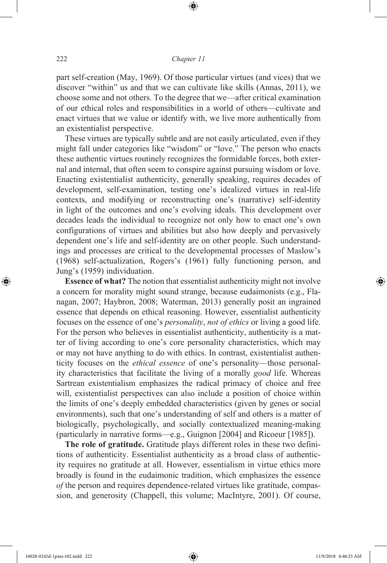⊕

part self-creation (May, 1969). Of those particular virtues (and vices) that we discover "within" us and that we can cultivate like skills (Annas, 2011), we choose some and not others. To the degree that we—after critical examination of our ethical roles and responsibilities in a world of others—cultivate and enact virtues that we value or identify with, we live more authentically from an existentialist perspective.

These virtues are typically subtle and are not easily articulated, even if they might fall under categories like "wisdom" or "love." The person who enacts these authentic virtues routinely recognizes the formidable forces, both external and internal, that often seem to conspire against pursuing wisdom or love. Enacting existentialist authenticity, generally speaking, requires decades of development, self-examination, testing one's idealized virtues in real-life contexts, and modifying or reconstructing one's (narrative) self-identity in light of the outcomes and one's evolving ideals. This development over decades leads the individual to recognize not only how to enact one's own configurations of virtues and abilities but also how deeply and pervasively dependent one's life and self-identity are on other people. Such understandings and processes are critical to the developmental processes of Maslow's (1968) self-actualization, Rogers's (1961) fully functioning person, and Jung's (1959) individuation.

**Essence of what?** The notion that essentialist authenticity might not involve a concern for morality might sound strange, because eudaimonists (e.g., Flanagan, 2007; Haybron, 2008; Waterman, 2013) generally posit an ingrained essence that depends on ethical reasoning. However, essentialist authenticity focuses on the essence of one's *personality*, *not of ethics* or living a good life. For the person who believes in essentialist authenticity, authenticity is a matter of living according to one's core personality characteristics, which may or may not have anything to do with ethics. In contrast, existentialist authenticity focuses on the *ethical essence* of one's personality—those personality characteristics that facilitate the living of a morally *good* life. Whereas Sartrean existentialism emphasizes the radical primacy of choice and free will, existentialist perspectives can also include a position of choice within the limits of one's deeply embedded characteristics (given by genes or social environments), such that one's understanding of self and others is a matter of biologically, psychologically, and socially contextualized meaning-making (particularly in narrative forms—e.g., Guignon [2004] and Ricoeur [1985]).

**The role of gratitude.** Gratitude plays different roles in these two definitions of authenticity. Essentialist authenticity as a broad class of authenticity requires no gratitude at all. However, essentialism in virtue ethics more broadly is found in the eudaimonic tradition, which emphasizes the essence *of* the person and requires dependence-related virtues like gratitude, compassion, and generosity (Chappell, this volume; MacIntyre, 2001). Of course,

⊕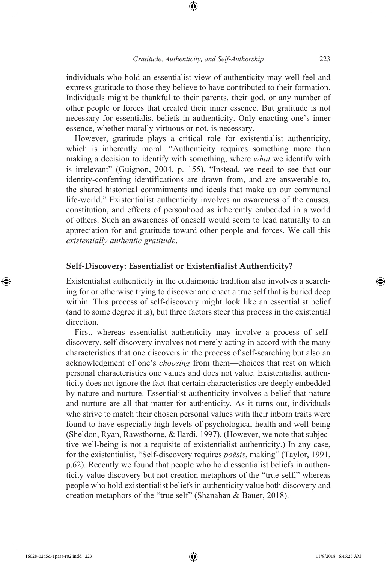individuals who hold an essentialist view of authenticity may well feel and express gratitude to those they believe to have contributed to their formation. Individuals might be thankful to their parents, their god, or any number of other people or forces that created their inner essence. But gratitude is not necessary for essentialist beliefs in authenticity. Only enacting one's inner essence, whether morally virtuous or not, is necessary.

However, gratitude plays a critical role for existentialist authenticity, which is inherently moral. "Authenticity requires something more than making a decision to identify with something, where *what* we identify with is irrelevant" (Guignon, 2004, p. 155). "Instead, we need to see that our identity-conferring identifications are drawn from, and are answerable to, the shared historical commitments and ideals that make up our communal life-world." Existentialist authenticity involves an awareness of the causes, constitution, and effects of personhood as inherently embedded in a world of others. Such an awareness of oneself would seem to lead naturally to an appreciation for and gratitude toward other people and forces. We call this *existentially authentic gratitude*.

#### **Self-Discovery: Essentialist or Existentialist Authenticity?**

Existentialist authenticity in the eudaimonic tradition also involves a searching for or otherwise trying to discover and enact a true self that is buried deep within. This process of self-discovery might look like an essentialist belief (and to some degree it is), but three factors steer this process in the existential direction.

First, whereas essentialist authenticity may involve a process of selfdiscovery, self-discovery involves not merely acting in accord with the many characteristics that one discovers in the process of self-searching but also an acknowledgment of one's *choosing* from them—choices that rest on which personal characteristics one values and does not value. Existentialist authenticity does not ignore the fact that certain characteristics are deeply embedded by nature and nurture. Essentialist authenticity involves a belief that nature and nurture are all that matter for authenticity. As it turns out, individuals who strive to match their chosen personal values with their inborn traits were found to have especially high levels of psychological health and well-being (Sheldon, Ryan, Rawsthorne, & Ilardi, 1997). (However, we note that subjective well-being is not a requisite of existentialist authenticity.) In any case, for the existentialist, "Self-discovery requires *poēsis*, making" (Taylor, 1991, p.62). Recently we found that people who hold essentialist beliefs in authenticity value discovery but not creation metaphors of the "true self," whereas people who hold existentialist beliefs in authenticity value both discovery and creation metaphors of the "true self" (Shanahan & Bauer, 2018).

⊕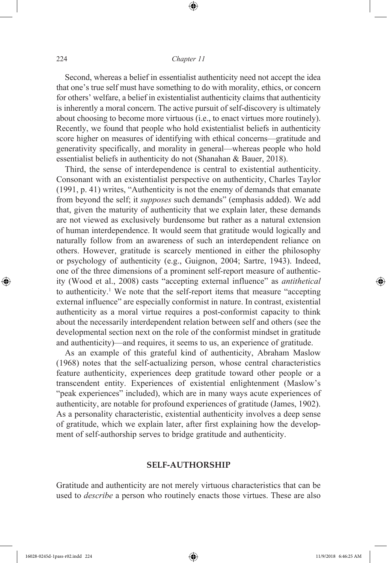⊕

Second, whereas a belief in essentialist authenticity need not accept the idea that one's true self must have something to do with morality, ethics, or concern for others' welfare, a belief in existentialist authenticity claims that authenticity is inherently a moral concern. The active pursuit of self-discovery is ultimately about choosing to become more virtuous (i.e., to enact virtues more routinely). Recently, we found that people who hold existentialist beliefs in authenticity score higher on measures of identifying with ethical concerns—gratitude and generativity specifically, and morality in general—whereas people who hold essentialist beliefs in authenticity do not (Shanahan & Bauer, 2018).

Third, the sense of interdependence is central to existential authenticity. Consonant with an existentialist perspective on authenticity, Charles Taylor (1991, p. 41) writes, "Authenticity is not the enemy of demands that emanate from beyond the self; it *supposes* such demands" (emphasis added). We add that, given the maturity of authenticity that we explain later, these demands are not viewed as exclusively burdensome but rather as a natural extension of human interdependence. It would seem that gratitude would logically and naturally follow from an awareness of such an interdependent reliance on others. However, gratitude is scarcely mentioned in either the philosophy or psychology of authenticity (e.g., Guignon, 2004; Sartre, 1943). Indeed, one of the three dimensions of a prominent self-report measure of authenticity (Wood et al., 2008) casts "accepting external influence" as *antithetical* to authenticity.<sup>1</sup> We note that the self-report items that measure "accepting external influence" are especially conformist in nature. In contrast, existential authenticity as a moral virtue requires a post-conformist capacity to think about the necessarily interdependent relation between self and others (see the developmental section next on the role of the conformist mindset in gratitude and authenticity)—and requires, it seems to us, an experience of gratitude.

As an example of this grateful kind of authenticity, Abraham Maslow (1968) notes that the self-actualizing person, whose central characteristics feature authenticity, experiences deep gratitude toward other people or a transcendent entity. Experiences of existential enlightenment (Maslow's "peak experiences" included), which are in many ways acute experiences of authenticity, are notable for profound experiences of gratitude (James, 1902). As a personality characteristic, existential authenticity involves a deep sense of gratitude, which we explain later, after first explaining how the development of self-authorship serves to bridge gratitude and authenticity.

### **SELF-AUTHORSHIP**

Gratitude and authenticity are not merely virtuous characteristics that can be used to *describe* a person who routinely enacts those virtues. These are also

⊕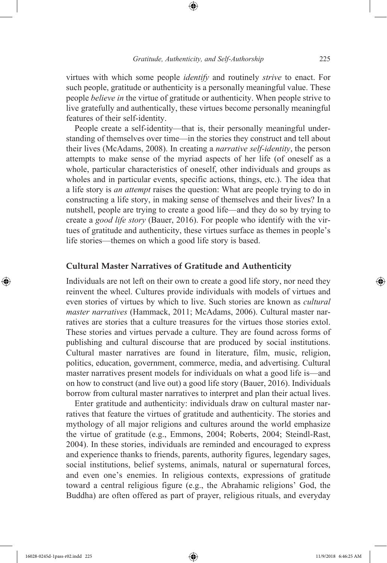virtues with which some people *identify* and routinely *strive* to enact. For such people, gratitude or authenticity is a personally meaningful value. These people *believe in* the virtue of gratitude or authenticity. When people strive to live gratefully and authentically, these virtues become personally meaningful features of their self-identity.

People create a self-identity—that is, their personally meaningful understanding of themselves over time—in the stories they construct and tell about their lives (McAdams, 2008). In creating a *narrative self-identity*, the person attempts to make sense of the myriad aspects of her life (of oneself as a whole, particular characteristics of oneself, other individuals and groups as wholes and in particular events, specific actions, things, etc.). The idea that a life story is *an attempt* raises the question: What are people trying to do in constructing a life story, in making sense of themselves and their lives? In a nutshell, people are trying to create a good life—and they do so by trying to create a *good life story* (Bauer, 2016). For people who identify with the virtues of gratitude and authenticity, these virtues surface as themes in people's life stories—themes on which a good life story is based.

# **Cultural Master Narratives of Gratitude and Authenticity**

Individuals are not left on their own to create a good life story, nor need they reinvent the wheel. Cultures provide individuals with models of virtues and even stories of virtues by which to live. Such stories are known as *cultural master narratives* (Hammack, 2011; McAdams, 2006). Cultural master narratives are stories that a culture treasures for the virtues those stories extol. These stories and virtues pervade a culture. They are found across forms of publishing and cultural discourse that are produced by social institutions. Cultural master narratives are found in literature, film, music, religion, politics, education, government, commerce, media, and advertising. Cultural master narratives present models for individuals on what a good life is—and on how to construct (and live out) a good life story (Bauer, 2016). Individuals borrow from cultural master narratives to interpret and plan their actual lives.

Enter gratitude and authenticity: individuals draw on cultural master narratives that feature the virtues of gratitude and authenticity. The stories and mythology of all major religions and cultures around the world emphasize the virtue of gratitude (e.g., Emmons, 2004; Roberts, 2004; Steindl-Rast, 2004). In these stories, individuals are reminded and encouraged to express and experience thanks to friends, parents, authority figures, legendary sages, social institutions, belief systems, animals, natural or supernatural forces, and even one's enemies. In religious contexts, expressions of gratitude toward a central religious figure (e.g., the Abrahamic religions' God, the Buddha) are often offered as part of prayer, religious rituals, and everyday

⊕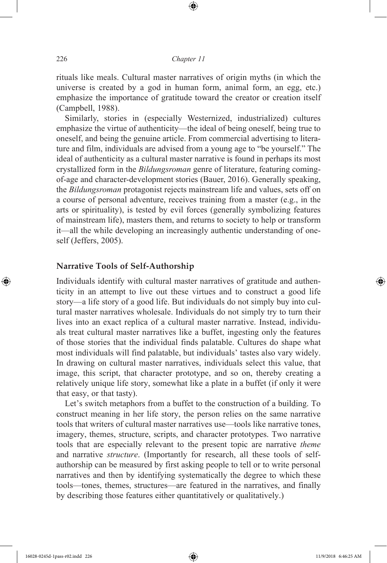rituals like meals. Cultural master narratives of origin myths (in which the universe is created by a god in human form, animal form, an egg, etc.) emphasize the importance of gratitude toward the creator or creation itself (Campbell, 1988).

Similarly, stories in (especially Westernized, industrialized) cultures emphasize the virtue of authenticity—the ideal of being oneself, being true to oneself, and being the genuine article. From commercial advertising to literature and film, individuals are advised from a young age to "be yourself." The ideal of authenticity as a cultural master narrative is found in perhaps its most crystallized form in the *Bildungsroman* genre of literature, featuring comingof-age and character-development stories (Bauer, 2016). Generally speaking, the *Bildungsroman* protagonist rejects mainstream life and values, sets off on a course of personal adventure, receives training from a master (e.g., in the arts or spirituality), is tested by evil forces (generally symbolizing features of mainstream life), masters them, and returns to society to help or transform it—all the while developing an increasingly authentic understanding of oneself (Jeffers, 2005).

#### **Narrative Tools of Self-Authorship**

Individuals identify with cultural master narratives of gratitude and authenticity in an attempt to live out these virtues and to construct a good life story—a life story of a good life. But individuals do not simply buy into cultural master narratives wholesale. Individuals do not simply try to turn their lives into an exact replica of a cultural master narrative. Instead, individuals treat cultural master narratives like a buffet, ingesting only the features of those stories that the individual finds palatable. Cultures do shape what most individuals will find palatable, but individuals' tastes also vary widely. In drawing on cultural master narratives, individuals select this value, that image, this script, that character prototype, and so on, thereby creating a relatively unique life story, somewhat like a plate in a buffet (if only it were that easy, or that tasty).

Let's switch metaphors from a buffet to the construction of a building. To construct meaning in her life story, the person relies on the same narrative tools that writers of cultural master narratives use—tools like narrative tones, imagery, themes, structure, scripts, and character prototypes. Two narrative tools that are especially relevant to the present topic are narrative *theme* and narrative *structure*. (Importantly for research, all these tools of selfauthorship can be measured by first asking people to tell or to write personal narratives and then by identifying systematically the degree to which these tools—tones, themes, structures—are featured in the narratives, and finally by describing those features either quantitatively or qualitatively.)

⊕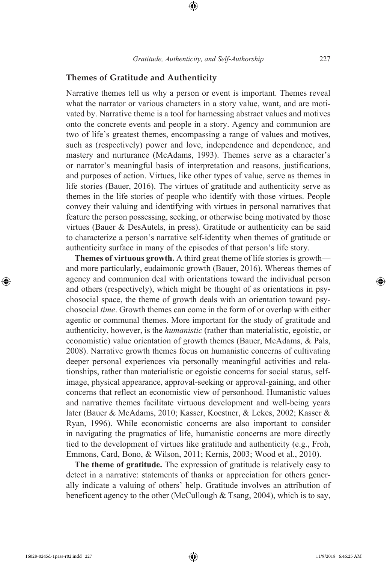# **Themes of Gratitude and Authenticity**

Narrative themes tell us why a person or event is important. Themes reveal what the narrator or various characters in a story value, want, and are motivated by. Narrative theme is a tool for harnessing abstract values and motives onto the concrete events and people in a story. Agency and communion are two of life's greatest themes, encompassing a range of values and motives, such as (respectively) power and love, independence and dependence, and mastery and nurturance (McAdams, 1993). Themes serve as a character's or narrator's meaningful basis of interpretation and reasons, justifications, and purposes of action. Virtues, like other types of value, serve as themes in life stories (Bauer, 2016). The virtues of gratitude and authenticity serve as themes in the life stories of people who identify with those virtues. People convey their valuing and identifying with virtues in personal narratives that feature the person possessing, seeking, or otherwise being motivated by those virtues (Bauer & DesAutels, in press). Gratitude or authenticity can be said to characterize a person's narrative self-identity when themes of gratitude or authenticity surface in many of the episodes of that person's life story.

**Themes of virtuous growth.** A third great theme of life stories is growth and more particularly, eudaimonic growth (Bauer, 2016). Whereas themes of agency and communion deal with orientations toward the individual person and others (respectively), which might be thought of as orientations in psychosocial space, the theme of growth deals with an orientation toward psychosocial *time*. Growth themes can come in the form of or overlap with either agentic or communal themes. More important for the study of gratitude and authenticity, however, is the *humanistic* (rather than materialistic, egoistic, or economistic) value orientation of growth themes (Bauer, McAdams, & Pals, 2008). Narrative growth themes focus on humanistic concerns of cultivating deeper personal experiences via personally meaningful activities and relationships, rather than materialistic or egoistic concerns for social status, selfimage, physical appearance, approval-seeking or approval-gaining, and other concerns that reflect an economistic view of personhood. Humanistic values and narrative themes facilitate virtuous development and well-being years later (Bauer & McAdams, 2010; Kasser, Koestner, & Lekes, 2002; Kasser & Ryan, 1996). While economistic concerns are also important to consider in navigating the pragmatics of life, humanistic concerns are more directly tied to the development of virtues like gratitude and authenticity (e.g., Froh, Emmons, Card, Bono, & Wilson, 2011; Kernis, 2003; Wood et al., 2010).

**The theme of gratitude.** The expression of gratitude is relatively easy to detect in a narrative: statements of thanks or appreciation for others generally indicate a valuing of others' help. Gratitude involves an attribution of beneficent agency to the other (McCullough & Tsang, 2004), which is to say,

⊕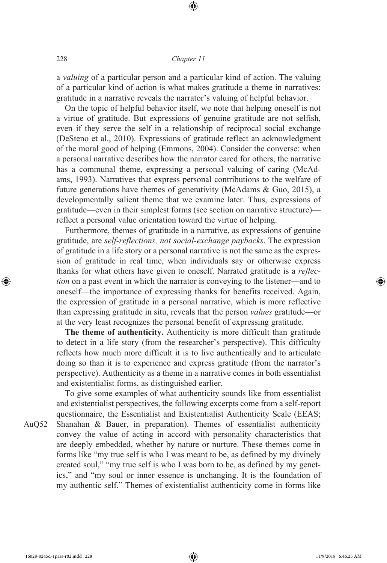a *valuing* of a particular person and a particular kind of action. The valuing of a particular kind of action is what makes gratitude a theme in narratives: gratitude in a narrative reveals the narrator's valuing of helpful behavior.

On the topic of helpful behavior itself, we note that helping oneself is not a virtue of gratitude. But expressions of genuine gratitude are not selfish, even if they serve the self in a relationship of reciprocal social exchange (DeSteno et al., 2010). Expressions of gratitude reflect an acknowledgment of the moral good of helping (Emmons, 2004). Consider the converse: when a personal narrative describes how the narrator cared for others, the narrative has a communal theme, expressing a personal valuing of caring (McAdams, 1993). Narratives that express personal contributions to the welfare of future generations have themes of generativity (McAdams & Guo, 2015), a developmentally salient theme that we examine later. Thus, expressions of gratitude—even in their simplest forms (see section on narrative structure) reflect a personal value orientation toward the virtue of helping.

Furthermore, themes of gratitude in a narrative, as expressions of genuine gratitude, are *self-reflections, not social-exchange paybacks*. The expression of gratitude in a life story or a personal narrative is not the same as the expression of gratitude in real time, when individuals say or otherwise express thanks for what others have given to oneself. Narrated gratitude is a *reflection* on a past event in which the narrator is conveying to the listener—and to oneself—the importance of expressing thanks for benefits received. Again, the expression of gratitude in a personal narrative, which is more reflective than expressing gratitude in situ, reveals that the person *values* gratitude—or at the very least recognizes the personal benefit of expressing gratitude.

**The theme of authenticity.** Authenticity is more difficult than gratitude to detect in a life story (from the researcher's perspective). This difficulty reflects how much more difficult it is to live authentically and to articulate doing so than it is to experience and express gratitude (from the narrator's perspective). Authenticity as a theme in a narrative comes in both essentialist and existentialist forms, as distinguished earlier.

To give some examples of what authenticity sounds like from essentialist and existentialist perspectives, the following excerpts come from a self-report questionnaire, the Essentialist and Existentialist Authenticity Scale (EEAS; Shanahan & Bauer, in preparation). Themes of essentialist authenticity convey the value of acting in accord with personality characteristics that are deeply embedded, whether by nature or nurture. These themes come in forms like "my true self is who I was meant to be, as defined by my divinely created soul," "my true self is who I was born to be, as defined by my genetics," and "my soul or inner essence is unchanging. It is the foundation of my authentic self." Themes of existentialist authenticity come in forms like AuQ52

⊕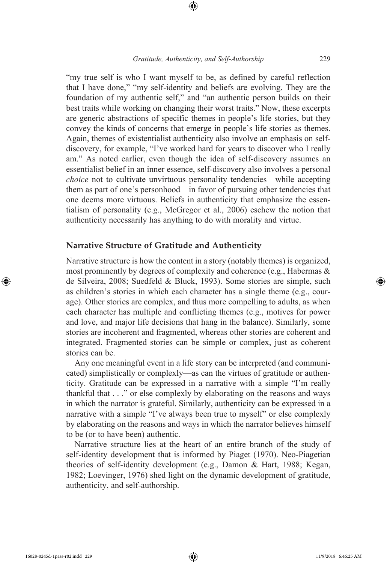#### *Gratitude, Authenticity, and Self-Authorship* 229

⊕

"my true self is who I want myself to be, as defined by careful reflection that I have done," "my self-identity and beliefs are evolving. They are the foundation of my authentic self," and "an authentic person builds on their best traits while working on changing their worst traits." Now, these excerpts are generic abstractions of specific themes in people's life stories, but they convey the kinds of concerns that emerge in people's life stories as themes. Again, themes of existentialist authenticity also involve an emphasis on selfdiscovery, for example, "I've worked hard for years to discover who I really am." As noted earlier, even though the idea of self-discovery assumes an essentialist belief in an inner essence, self-discovery also involves a personal *choice* not to cultivate unvirtuous personality tendencies—while accepting them as part of one's personhood—in favor of pursuing other tendencies that one deems more virtuous. Beliefs in authenticity that emphasize the essentialism of personality (e.g., McGregor et al., 2006) eschew the notion that authenticity necessarily has anything to do with morality and virtue.

#### **Narrative Structure of Gratitude and Authenticity**

Narrative structure is how the content in a story (notably themes) is organized, most prominently by degrees of complexity and coherence (e.g., Habermas & de Silveira, 2008; Suedfeld & Bluck, 1993). Some stories are simple, such as children's stories in which each character has a single theme (e.g., courage). Other stories are complex, and thus more compelling to adults, as when each character has multiple and conflicting themes (e.g., motives for power and love, and major life decisions that hang in the balance). Similarly, some stories are incoherent and fragmented, whereas other stories are coherent and integrated. Fragmented stories can be simple or complex, just as coherent stories can be.

Any one meaningful event in a life story can be interpreted (and communicated) simplistically or complexly—as can the virtues of gratitude or authenticity. Gratitude can be expressed in a narrative with a simple "I'm really thankful that . . ." or else complexly by elaborating on the reasons and ways in which the narrator is grateful. Similarly, authenticity can be expressed in a narrative with a simple "I've always been true to myself" or else complexly by elaborating on the reasons and ways in which the narrator believes himself to be (or to have been) authentic.

Narrative structure lies at the heart of an entire branch of the study of self-identity development that is informed by Piaget (1970). Neo-Piagetian theories of self-identity development (e.g., Damon & Hart, 1988; Kegan, 1982; Loevinger, 1976) shed light on the dynamic development of gratitude, authenticity, and self-authorship.

⊕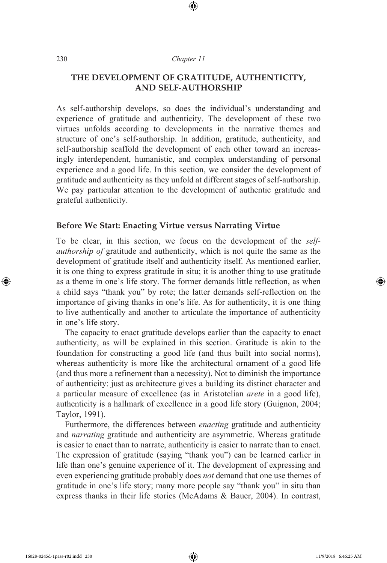⊕

# **THE DEVELOPMENT OF GRATITUDE, AUTHENTICITY, AND SELF-AUTHORSHIP**

As self-authorship develops, so does the individual's understanding and experience of gratitude and authenticity. The development of these two virtues unfolds according to developments in the narrative themes and structure of one's self-authorship. In addition, gratitude, authenticity, and self-authorship scaffold the development of each other toward an increasingly interdependent, humanistic, and complex understanding of personal experience and a good life. In this section, we consider the development of gratitude and authenticity as they unfold at different stages of self-authorship. We pay particular attention to the development of authentic gratitude and grateful authenticity.

#### **Before We Start: Enacting Virtue versus Narrating Virtue**

To be clear, in this section, we focus on the development of the *selfauthorship of* gratitude and authenticity, which is not quite the same as the development of gratitude itself and authenticity itself. As mentioned earlier, it is one thing to express gratitude in situ; it is another thing to use gratitude as a theme in one's life story. The former demands little reflection, as when a child says "thank you" by rote; the latter demands self-reflection on the importance of giving thanks in one's life. As for authenticity, it is one thing to live authentically and another to articulate the importance of authenticity in one's life story.

The capacity to enact gratitude develops earlier than the capacity to enact authenticity, as will be explained in this section. Gratitude is akin to the foundation for constructing a good life (and thus built into social norms), whereas authenticity is more like the architectural ornament of a good life (and thus more a refinement than a necessity). Not to diminish the importance of authenticity: just as architecture gives a building its distinct character and a particular measure of excellence (as in Aristotelian *arete* in a good life), authenticity is a hallmark of excellence in a good life story (Guignon, 2004; Taylor, 1991).

Furthermore, the differences between *enacting* gratitude and authenticity and *narrating* gratitude and authenticity are asymmetric. Whereas gratitude is easier to enact than to narrate, authenticity is easier to narrate than to enact. The expression of gratitude (saying "thank you") can be learned earlier in life than one's genuine experience of it. The development of expressing and even experiencing gratitude probably does *not* demand that one use themes of gratitude in one's life story; many more people say "thank you" in situ than express thanks in their life stories (McAdams & Bauer, 2004). In contrast,

⊕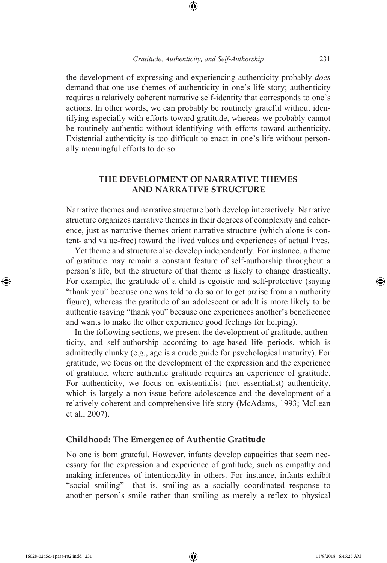#### *Gratitude, Authenticity, and Self-Authorship* 231

⊕

the development of expressing and experiencing authenticity probably *does* demand that one use themes of authenticity in one's life story; authenticity requires a relatively coherent narrative self-identity that corresponds to one's actions. In other words, we can probably be routinely grateful without identifying especially with efforts toward gratitude, whereas we probably cannot be routinely authentic without identifying with efforts toward authenticity. Existential authenticity is too difficult to enact in one's life without personally meaningful efforts to do so.

# **THE DEVELOPMENT OF NARRATIVE THEMES AND NARRATIVE STRUCTURE**

Narrative themes and narrative structure both develop interactively. Narrative structure organizes narrative themes in their degrees of complexity and coherence, just as narrative themes orient narrative structure (which alone is content- and value-free) toward the lived values and experiences of actual lives.

Yet theme and structure also develop independently. For instance, a theme of gratitude may remain a constant feature of self-authorship throughout a person's life, but the structure of that theme is likely to change drastically. For example, the gratitude of a child is egoistic and self-protective (saying "thank you" because one was told to do so or to get praise from an authority figure), whereas the gratitude of an adolescent or adult is more likely to be authentic (saying "thank you" because one experiences another's beneficence and wants to make the other experience good feelings for helping).

In the following sections, we present the development of gratitude, authenticity, and self-authorship according to age-based life periods, which is admittedly clunky (e.g., age is a crude guide for psychological maturity). For gratitude, we focus on the development of the expression and the experience of gratitude, where authentic gratitude requires an experience of gratitude. For authenticity, we focus on existentialist (not essentialist) authenticity, which is largely a non-issue before adolescence and the development of a relatively coherent and comprehensive life story (McAdams, 1993; McLean et al., 2007).

#### **Childhood: The Emergence of Authentic Gratitude**

No one is born grateful. However, infants develop capacities that seem necessary for the expression and experience of gratitude, such as empathy and making inferences of intentionality in others. For instance, infants exhibit "social smiling"—that is, smiling as a socially coordinated response to another person's smile rather than smiling as merely a reflex to physical

⊕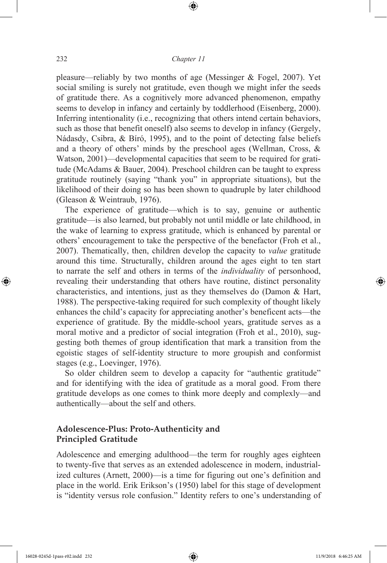pleasure—reliably by two months of age (Messinger & Fogel, 2007). Yet social smiling is surely not gratitude, even though we might infer the seeds of gratitude there. As a cognitively more advanced phenomenon, empathy seems to develop in infancy and certainly by toddlerhood (Eisenberg, 2000). Inferring intentionality (i.e., recognizing that others intend certain behaviors, such as those that benefit oneself) also seems to develop in infancy (Gergely, Nádasdy, Csibra, & Bíró, 1995), and to the point of detecting false beliefs and a theory of others' minds by the preschool ages (Wellman, Cross, & Watson, 2001)—developmental capacities that seem to be required for gratitude (McAdams & Bauer, 2004). Preschool children can be taught to express gratitude routinely (saying "thank you" in appropriate situations), but the likelihood of their doing so has been shown to quadruple by later childhood (Gleason & Weintraub, 1976).

The experience of gratitude—which is to say, genuine or authentic gratitude—is also learned, but probably not until middle or late childhood, in the wake of learning to express gratitude, which is enhanced by parental or others' encouragement to take the perspective of the benefactor (Froh et al., 2007). Thematically, then, children develop the capacity to *value* gratitude around this time. Structurally, children around the ages eight to ten start to narrate the self and others in terms of the *individuality* of personhood, revealing their understanding that others have routine, distinct personality characteristics, and intentions, just as they themselves do (Damon & Hart, 1988). The perspective-taking required for such complexity of thought likely enhances the child's capacity for appreciating another's beneficent acts—the experience of gratitude. By the middle-school years, gratitude serves as a moral motive and a predictor of social integration (Froh et al., 2010), suggesting both themes of group identification that mark a transition from the egoistic stages of self-identity structure to more groupish and conformist stages (e.g., Loevinger, 1976).

So older children seem to develop a capacity for "authentic gratitude" and for identifying with the idea of gratitude as a moral good. From there gratitude develops as one comes to think more deeply and complexly—and authentically—about the self and others.

# **Adolescence-Plus: Proto-Authenticity and Principled Gratitude**

Adolescence and emerging adulthood—the term for roughly ages eighteen to twenty-five that serves as an extended adolescence in modern, industrialized cultures (Arnett, 2000)—is a time for figuring out one's definition and place in the world. Erik Erikson's (1950) label for this stage of development is "identity versus role confusion." Identity refers to one's understanding of

⊕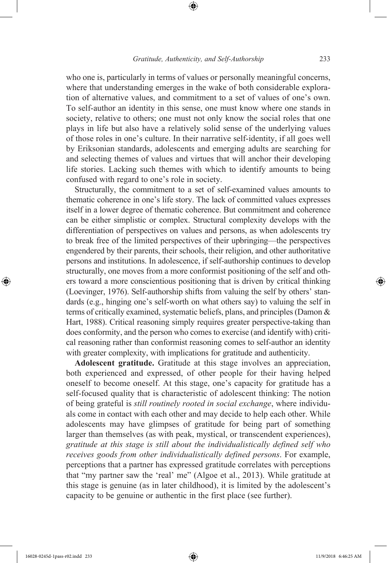#### *Gratitude, Authenticity, and Self-Authorship* 233

⊕

who one is, particularly in terms of values or personally meaningful concerns, where that understanding emerges in the wake of both considerable exploration of alternative values, and commitment to a set of values of one's own. To self-author an identity in this sense, one must know where one stands in society, relative to others; one must not only know the social roles that one plays in life but also have a relatively solid sense of the underlying values of those roles in one's culture. In their narrative self-identity, if all goes well by Eriksonian standards, adolescents and emerging adults are searching for and selecting themes of values and virtues that will anchor their developing life stories. Lacking such themes with which to identify amounts to being confused with regard to one's role in society.

Structurally, the commitment to a set of self-examined values amounts to thematic coherence in one's life story. The lack of committed values expresses itself in a lower degree of thematic coherence. But commitment and coherence can be either simplistic or complex. Structural complexity develops with the differentiation of perspectives on values and persons, as when adolescents try to break free of the limited perspectives of their upbringing—the perspectives engendered by their parents, their schools, their religion, and other authoritative persons and institutions. In adolescence, if self-authorship continues to develop structurally, one moves from a more conformist positioning of the self and others toward a more conscientious positioning that is driven by critical thinking (Loevinger, 1976). Self-authorship shifts from valuing the self by others' standards (e.g., hinging one's self-worth on what others say) to valuing the self in terms of critically examined, systematic beliefs, plans, and principles (Damon & Hart, 1988). Critical reasoning simply requires greater perspective-taking than does conformity, and the person who comes to exercise (and identify with) critical reasoning rather than conformist reasoning comes to self-author an identity with greater complexity, with implications for gratitude and authenticity.

**Adolescent gratitude.** Gratitude at this stage involves an appreciation, both experienced and expressed, of other people for their having helped oneself to become oneself. At this stage, one's capacity for gratitude has a self-focused quality that is characteristic of adolescent thinking: The notion of being grateful is *still routinely rooted in social exchange*, where individuals come in contact with each other and may decide to help each other. While adolescents may have glimpses of gratitude for being part of something larger than themselves (as with peak, mystical, or transcendent experiences), *gratitude at this stage is still about the individualistically defined self who receives goods from other individualistically defined persons*. For example, perceptions that a partner has expressed gratitude correlates with perceptions that "my partner saw the 'real' me" (Algoe et al., 2013). While gratitude at this stage is genuine (as in later childhood), it is limited by the adolescent's capacity to be genuine or authentic in the first place (see further).

 $\bigoplus$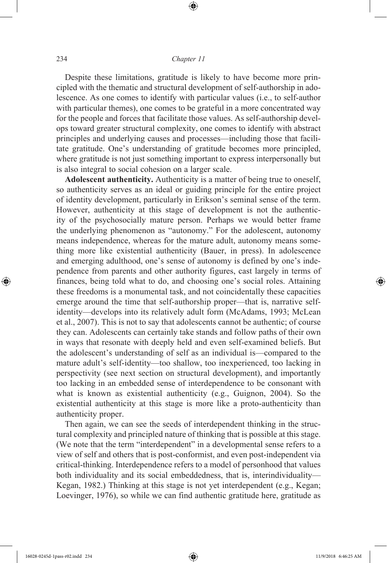Despite these limitations, gratitude is likely to have become more principled with the thematic and structural development of self-authorship in adolescence. As one comes to identify with particular values (i.e., to self-author with particular themes), one comes to be grateful in a more concentrated way for the people and forces that facilitate those values. As self-authorship develops toward greater structural complexity, one comes to identify with abstract principles and underlying causes and processes—including those that facilitate gratitude. One's understanding of gratitude becomes more principled, where gratitude is not just something important to express interpersonally but is also integral to social cohesion on a larger scale.

**Adolescent authenticity.** Authenticity is a matter of being true to oneself, so authenticity serves as an ideal or guiding principle for the entire project of identity development, particularly in Erikson's seminal sense of the term. However, authenticity at this stage of development is not the authenticity of the psychosocially mature person. Perhaps we would better frame the underlying phenomenon as "autonomy." For the adolescent, autonomy means independence, whereas for the mature adult, autonomy means something more like existential authenticity (Bauer, in press). In adolescence and emerging adulthood, one's sense of autonomy is defined by one's independence from parents and other authority figures, cast largely in terms of finances, being told what to do, and choosing one's social roles. Attaining these freedoms is a monumental task, and not coincidentally these capacities emerge around the time that self-authorship proper—that is, narrative selfidentity—develops into its relatively adult form (McAdams, 1993; McLean et al., 2007). This is not to say that adolescents cannot be authentic; of course they can. Adolescents can certainly take stands and follow paths of their own in ways that resonate with deeply held and even self-examined beliefs. But the adolescent's understanding of self as an individual is—compared to the mature adult's self-identity—too shallow, too inexperienced, too lacking in perspectivity (see next section on structural development), and importantly too lacking in an embedded sense of interdependence to be consonant with what is known as existential authenticity (e.g., Guignon, 2004). So the existential authenticity at this stage is more like a proto-authenticity than authenticity proper.

Then again, we can see the seeds of interdependent thinking in the structural complexity and principled nature of thinking that is possible at this stage. (We note that the term "interdependent" in a developmental sense refers to a view of self and others that is post-conformist, and even post-independent via critical-thinking. Interdependence refers to a model of personhood that values both individuality and its social embeddedness, that is, interindividuality— Kegan, 1982.) Thinking at this stage is not yet interdependent (e.g., Kegan; Loevinger, 1976), so while we can find authentic gratitude here, gratitude as

⊕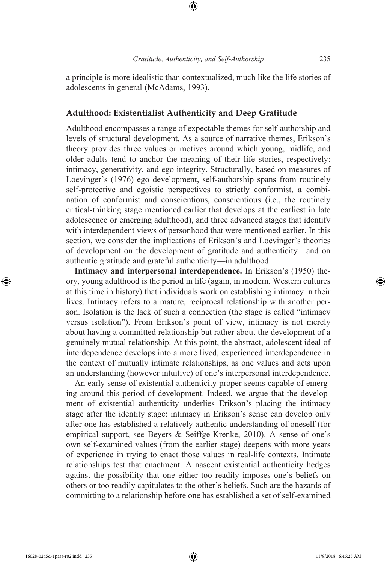a principle is more idealistic than contextualized, much like the life stories of adolescents in general (McAdams, 1993).

#### **Adulthood: Existentialist Authenticity and Deep Gratitude**

Adulthood encompasses a range of expectable themes for self-authorship and levels of structural development. As a source of narrative themes, Erikson's theory provides three values or motives around which young, midlife, and older adults tend to anchor the meaning of their life stories, respectively: intimacy, generativity, and ego integrity. Structurally, based on measures of Loevinger's (1976) ego development, self-authorship spans from routinely self-protective and egoistic perspectives to strictly conformist, a combination of conformist and conscientious, conscientious (i.e., the routinely critical-thinking stage mentioned earlier that develops at the earliest in late adolescence or emerging adulthood), and three advanced stages that identify with interdependent views of personhood that were mentioned earlier. In this section, we consider the implications of Erikson's and Loevinger's theories of development on the development of gratitude and authenticity—and on authentic gratitude and grateful authenticity—in adulthood.

**Intimacy and interpersonal interdependence.** In Erikson's (1950) theory, young adulthood is the period in life (again, in modern, Western cultures at this time in history) that individuals work on establishing intimacy in their lives. Intimacy refers to a mature, reciprocal relationship with another person. Isolation is the lack of such a connection (the stage is called "intimacy versus isolation"). From Erikson's point of view, intimacy is not merely about having a committed relationship but rather about the development of a genuinely mutual relationship. At this point, the abstract, adolescent ideal of interdependence develops into a more lived, experienced interdependence in the context of mutually intimate relationships, as one values and acts upon an understanding (however intuitive) of one's interpersonal interdependence.

An early sense of existential authenticity proper seems capable of emerging around this period of development. Indeed, we argue that the development of existential authenticity underlies Erikson's placing the intimacy stage after the identity stage: intimacy in Erikson's sense can develop only after one has established a relatively authentic understanding of oneself (for empirical support, see Beyers & Seiffge-Krenke, 2010). A sense of one's own self-examined values (from the earlier stage) deepens with more years of experience in trying to enact those values in real-life contexts. Intimate relationships test that enactment. A nascent existential authenticity hedges against the possibility that one either too readily imposes one's beliefs on others or too readily capitulates to the other's beliefs. Such are the hazards of committing to a relationship before one has established a set of self-examined

⊕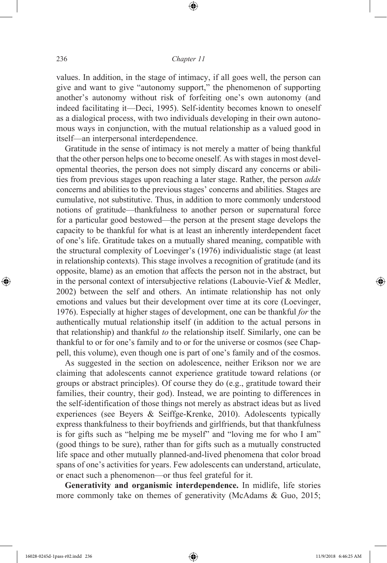values. In addition, in the stage of intimacy, if all goes well, the person can give and want to give "autonomy support," the phenomenon of supporting another's autonomy without risk of forfeiting one's own autonomy (and indeed facilitating it—Deci, 1995). Self-identity becomes known to oneself as a dialogical process, with two individuals developing in their own autonomous ways in conjunction, with the mutual relationship as a valued good in itself—an interpersonal interdependence.

Gratitude in the sense of intimacy is not merely a matter of being thankful that the other person helps one to become oneself. As with stages in most developmental theories, the person does not simply discard any concerns or abilities from previous stages upon reaching a later stage. Rather, the person *adds* concerns and abilities to the previous stages' concerns and abilities. Stages are cumulative, not substitutive. Thus, in addition to more commonly understood notions of gratitude—thankfulness to another person or supernatural force for a particular good bestowed—the person at the present stage develops the capacity to be thankful for what is at least an inherently interdependent facet of one's life. Gratitude takes on a mutually shared meaning, compatible with the structural complexity of Loevinger's (1976) individualistic stage (at least in relationship contexts). This stage involves a recognition of gratitude (and its opposite, blame) as an emotion that affects the person not in the abstract, but in the personal context of intersubjective relations (Labouvie-Vief & Medler, 2002) between the self and others. An intimate relationship has not only emotions and values but their development over time at its core (Loevinger, 1976). Especially at higher stages of development, one can be thankful *for* the authentically mutual relationship itself (in addition to the actual persons in that relationship) and thankful *to* the relationship itself. Similarly, one can be thankful to or for one's family and to or for the universe or cosmos (see Chappell, this volume), even though one is part of one's family and of the cosmos.

As suggested in the section on adolescence, neither Erikson nor we are claiming that adolescents cannot experience gratitude toward relations (or groups or abstract principles). Of course they do (e.g., gratitude toward their families, their country, their god). Instead, we are pointing to differences in the self-identification of those things not merely as abstract ideas but as lived experiences (see Beyers & Seiffge-Krenke, 2010). Adolescents typically express thankfulness to their boyfriends and girlfriends, but that thankfulness is for gifts such as "helping me be myself" and "loving me for who I am" (good things to be sure), rather than for gifts such as a mutually constructed life space and other mutually planned-and-lived phenomena that color broad spans of one's activities for years. Few adolescents can understand, articulate, or enact such a phenomenon—or thus feel grateful for it.

**Generativity and organismic interdependence.** In midlife, life stories more commonly take on themes of generativity (McAdams & Guo, 2015;

⊕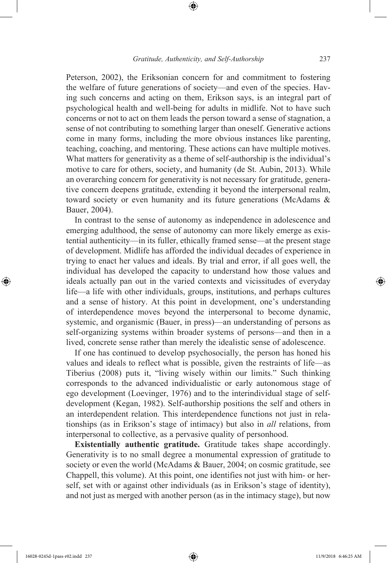Peterson, 2002), the Eriksonian concern for and commitment to fostering the welfare of future generations of society—and even of the species. Having such concerns and acting on them, Erikson says, is an integral part of psychological health and well-being for adults in midlife. Not to have such concerns or not to act on them leads the person toward a sense of stagnation, a sense of not contributing to something larger than oneself. Generative actions come in many forms, including the more obvious instances like parenting, teaching, coaching, and mentoring. These actions can have multiple motives. What matters for generativity as a theme of self-authorship is the individual's motive to care for others, society, and humanity (de St. Aubin, 2013). While an overarching concern for generativity is not necessary for gratitude, generative concern deepens gratitude, extending it beyond the interpersonal realm, toward society or even humanity and its future generations (McAdams & Bauer, 2004).

In contrast to the sense of autonomy as independence in adolescence and emerging adulthood, the sense of autonomy can more likely emerge as existential authenticity—in its fuller, ethically framed sense—at the present stage of development. Midlife has afforded the individual decades of experience in trying to enact her values and ideals. By trial and error, if all goes well, the individual has developed the capacity to understand how those values and ideals actually pan out in the varied contexts and vicissitudes of everyday life—a life with other individuals, groups, institutions, and perhaps cultures and a sense of history. At this point in development, one's understanding of interdependence moves beyond the interpersonal to become dynamic, systemic, and organismic (Bauer, in press)—an understanding of persons as self-organizing systems within broader systems of persons—and then in a lived, concrete sense rather than merely the idealistic sense of adolescence.

If one has continued to develop psychosocially, the person has honed his values and ideals to reflect what is possible, given the restraints of life—as Tiberius (2008) puts it, "living wisely within our limits." Such thinking corresponds to the advanced individualistic or early autonomous stage of ego development (Loevinger, 1976) and to the interindividual stage of selfdevelopment (Kegan, 1982). Self-authorship positions the self and others in an interdependent relation. This interdependence functions not just in relationships (as in Erikson's stage of intimacy) but also in *all* relations, from interpersonal to collective, as a pervasive quality of personhood.

**Existentially authentic gratitude.** Gratitude takes shape accordingly. Generativity is to no small degree a monumental expression of gratitude to society or even the world (McAdams & Bauer, 2004; on cosmic gratitude, see Chappell, this volume). At this point, one identifies not just with him- or herself, set with or against other individuals (as in Erikson's stage of identity), and not just as merged with another person (as in the intimacy stage), but now

⊕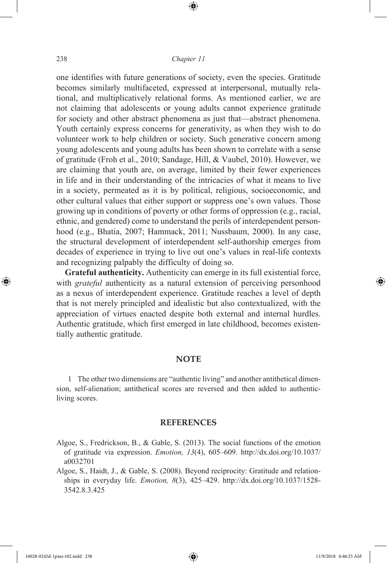⊕

one identifies with future generations of society, even the species. Gratitude becomes similarly multifaceted, expressed at interpersonal, mutually relational, and multiplicatively relational forms. As mentioned earlier, we are not claiming that adolescents or young adults cannot experience gratitude for society and other abstract phenomena as just that—abstract phenomena. Youth certainly express concerns for generativity, as when they wish to do volunteer work to help children or society. Such generative concern among young adolescents and young adults has been shown to correlate with a sense of gratitude (Froh et al., 2010; Sandage, Hill, & Vaubel, 2010). However, we are claiming that youth are, on average, limited by their fewer experiences in life and in their understanding of the intricacies of what it means to live in a society, permeated as it is by political, religious, socioeconomic, and other cultural values that either support or suppress one's own values. Those growing up in conditions of poverty or other forms of oppression (e.g., racial, ethnic, and gendered) come to understand the perils of interdependent personhood (e.g., Bhatia, 2007; Hammack, 2011; Nussbaum, 2000). In any case, the structural development of interdependent self-authorship emerges from decades of experience in trying to live out one's values in real-life contexts and recognizing palpably the difficulty of doing so.

**Grateful authenticity.** Authenticity can emerge in its full existential force, with *grateful* authenticity as a natural extension of perceiving personhood as a nexus of interdependent experience. Gratitude reaches a level of depth that is not merely principled and idealistic but also contextualized, with the appreciation of virtues enacted despite both external and internal hurdles. Authentic gratitude, which first emerged in late childhood, becomes existentially authentic gratitude.

#### **NOTE**

1 The other two dimensions are "authentic living" and another antithetical dimension, self-alienation; antithetical scores are reversed and then added to authenticliving scores.

#### **REFERENCES**

- Algoe, S., Fredrickson, B., & Gable, S. (2013). The social functions of the emotion of gratitude via expression. *Emotion, 13*(4), 605–609. http://dx.doi.org/10.1037/ a0032701
- Algoe, S., Haidt, J., & Gable, S. (2008). Beyond reciprocity: Gratitude and relationships in everyday life. *Emotion, 8*(3), 425–429. http://dx.doi.org/10.1037/1528- 3542.8.3.425

⊕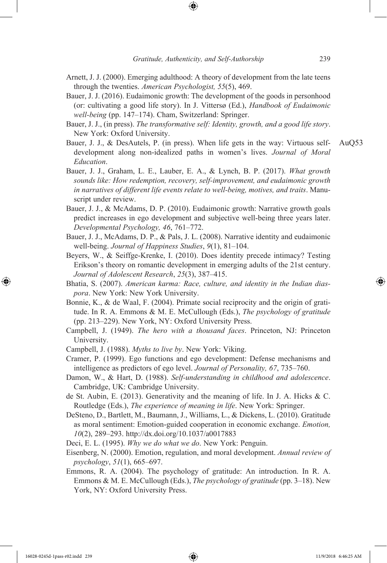- Arnett, J. J. (2000). Emerging adulthood: A theory of development from the late teens through the twenties. *American Psychologist, 55*(5), 469.
- Bauer, J. J. (2016). Eudaimonic growth: The development of the goods in personhood (or: cultivating a good life story). In J. Vittersø (Ed.), *Handbook of Eudaimonic well-being* (pp. 147–174). Cham, Switzerland: Springer.
- Bauer, J. J., (in press). *The transformative self: Identity, growth, and a good life story*. New York: Oxford University.
- Bauer, J. J., & DesAutels, P. (in press). When life gets in the way: Virtuous selfdevelopment along non-idealized paths in women's lives. *Journal of Moral Education*. AuQ53
- Bauer, J. J., Graham, L. E., Lauber, E. A., & Lynch, B. P. (2017). *What growth sounds like: How redemption, recovery, self-improvement, and eudaimonic growth in narratives of different life events relate to well-being, motives, and traits*. Manuscript under review.
- Bauer, J. J., & McAdams, D. P. (2010). Eudaimonic growth: Narrative growth goals predict increases in ego development and subjective well-being three years later. *Developmental Psychology, 46*, 761–772.
- Bauer, J. J., McAdams, D. P., & Pals, J. L. (2008). Narrative identity and eudaimonic well-being. *Journal of Happiness Studies*, *9*(1), 81–104.
- Beyers, W., & Seiffge-Krenke, I. (2010). Does identity precede intimacy? Testing Erikson's theory on romantic development in emerging adults of the 21st century. *Journal of Adolescent Research*, *25*(3), 387–415.
- Bhatia, S. (2007). *American karma: Race, culture, and identity in the Indian diaspora*. New York: New York University.
- Bonnie, K., & de Waal, F. (2004). Primate social reciprocity and the origin of gratitude. In R. A. Emmons & M. E. McCullough (Eds.), *The psychology of gratitude* (pp. 213–229). New York, NY: Oxford University Press.
- Campbell, J. (1949). *The hero with a thousand faces*. Princeton, NJ: Princeton University.
- Campbell, J. (1988). *Myths to live by*. New York: Viking.

Cramer, P. (1999). Ego functions and ego development: Defense mechanisms and intelligence as predictors of ego level. *Journal of Personality, 67*, 735–760.

- Damon, W., & Hart, D. (1988). *Self-understanding in childhood and adolescence*. Cambridge, UK: Cambridge University.
- de St. Aubin, E. (2013). Generativity and the meaning of life. In J. A. Hicks & C. Routledge (Eds.), *The experience of meaning in life*. New York: Springer.
- DeSteno, D., Bartlett, M., Baumann, J., Williams, L., & Dickens, L. (2010). Gratitude as moral sentiment: Emotion-guided cooperation in economic exchange. *Emotion, 10*(2), 289–293. http://dx.doi.org/10.1037/a0017883

Deci, E. L. (1995). *Why we do what we do*. New York: Penguin.

- Eisenberg, N. (2000). Emotion, regulation, and moral development. *Annual review of psychology*, *51*(1), 665–697.
- Emmons, R. A. (2004). The psychology of gratitude: An introduction. In R. A. Emmons & M. E. McCullough (Eds.), *The psychology of gratitude* (pp. 3–18). New York, NY: Oxford University Press.

⊕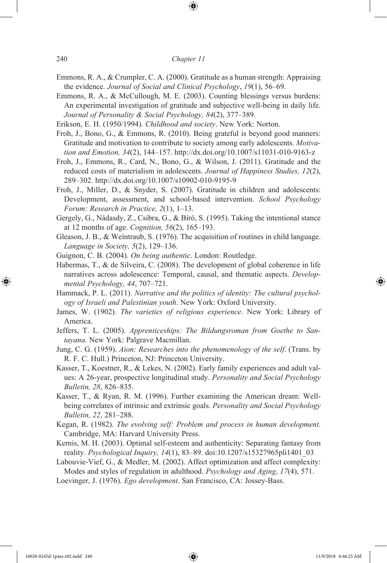- Emmons, R. A., & Crumpler, C. A. (2000). Gratitude as a human strength: Appraising the evidence. *Journal of Social and Clinical Psychology*, *19*(1), 56–69.
- Emmons, R. A., & McCullough, M. E. (2003). Counting blessings versus burdens: An experimental investigation of gratitude and subjective well-being in daily life. *Journal of Personality & Social Psychology, 84*(2), 377–389.
- Erikson, E. H. (1950/1994). *Childhood and society*. New York: Norton.
- Froh, J., Bono, G., & Emmons, R. (2010). Being grateful is beyond good manners: Gratitude and motivation to contribute to society among early adolescents. *Motivation and Emotion, 34*(2), 144–157. http://dx.doi.org/10.1007/s11031-010-9163-z
- Froh, J., Emmons, R., Card, N., Bono, G., & Wilson, J. (2011). Gratitude and the reduced costs of materialism in adolescents. *Journal of Happiness Studies, 12*(2), 289–302. http://dx.doi.org/10.1007/s10902-010-9195-9
- Froh, J., Miller, D., & Snyder, S. (2007). Gratitude in children and adolescents: Development, assessment, and school-based intervention. *School Psychology Forum: Research in Practice, 2*(1), 1–13.
- Gergely, G., Nádasdy, Z., Csibra, G., & Bíró, S. (1995). Taking the intentional stance at 12 months of age. *Cognition, 56*(2), 165–193.
- Gleason, J. B., & Weintraub, S. (1976). The acquisition of routines in child language. *Language in Society, 5*(2), 129–136.
- Guignon, C. B. (2004). *On being authentic*. London: Routledge.
- Habermas, T., & de Silveira, C. (2008). The development of global coherence in life narratives across adolescence: Temporal, causal, and thematic aspects. *Developmental Psychology, 44*, 707–721.
- Hammack, P. L. (2011). *Narrative and the politics of identity: The cultural psychology of Israeli and Palestinian youth*. New York: Oxford University.
- James, W. (1902). *The varieties of religious experience*. New York: Library of America.
- Jeffers, T. L. (2005). *Apprenticeships: The Bildungsroman from Goethe to Santayana*. New York: Palgrave Macmillan.
- Jung, C. G. (1959). *Aion: Researches into the phenomenology of the self*. (Trans. by R. F. C. Hull.) Princeton, NJ: Princeton University.
- Kasser, T., Koestner, R., & Lekes, N. (2002). Early family experiences and adult values: A 26-year, prospective longitudinal study. *Personality and Social Psychology Bulletin, 28*, 826–835.
- Kasser, T., & Ryan, R. M. (1996). Further examining the American dream: Wellbeing correlates of intrinsic and extrinsic goals. *Personality and Social Psychology Bulletin, 22*, 281–288.
- Kegan, R. (1982). *The evolving self: Problem and process in human development*. Cambridge, MA: Harvard University Press.
- Kernis, M. H. (2003). Optimal self-esteem and authenticity: Separating fantasy from reality. *Psychological Inquiry, 14*(1), 83–89. doi:10.1207/s15327965pli1401\_03
- Labouvie-Vief, G., & Medler, M. (2002). Affect optimization and affect complexity: Modes and styles of regulation in adulthood. *Psychology and Aging*, *17*(4), 571.

Loevinger, J. (1976). *Ego development*. San Francisco, CA: Jossey-Bass.

⊕

↔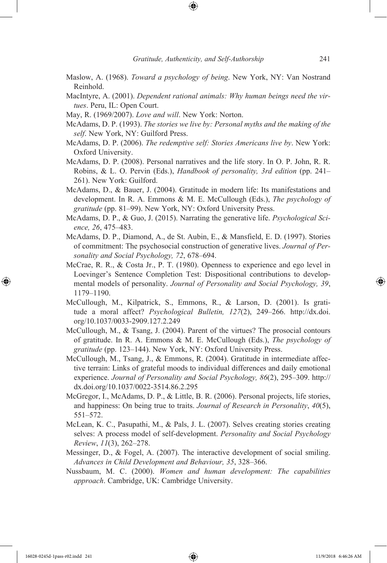- Maslow, A. (1968). *Toward a psychology of being*. New York, NY: Van Nostrand Reinhold.
- MacIntyre, A. (2001). *Dependent rational animals: Why human beings need the virtues*. Peru, IL: Open Court.
- May, R. (1969/2007). *Love and will*. New York: Norton.
- McAdams, D. P. (1993). *The stories we live by: Personal myths and the making of the self*. New York, NY: Guilford Press.
- McAdams, D. P. (2006). *The redemptive self: Stories Americans live by*. New York: Oxford University.
- McAdams, D. P. (2008). Personal narratives and the life story. In O. P. John, R. R. Robins, & L. O. Pervin (Eds.), *Handbook of personality, 3rd edition* (pp. 241– 261). New York: Guilford.
- McAdams, D., & Bauer, J. (2004). Gratitude in modern life: Its manifestations and development. In R. A. Emmons & M. E. McCullough (Eds.), *The psychology of gratitude* (pp. 81–99). New York, NY: Oxford University Press.
- McAdams, D. P., & Guo, J. (2015). Narrating the generative life. *Psychological Science, 26*, 475–483.
- McAdams, D. P., Diamond, A., de St. Aubin, E., & Mansfield, E. D. (1997). Stories of commitment: The psychosocial construction of generative lives. *Journal of Personality and Social Psychology, 72*, 678–694.
- McCrae, R. R., & Costa Jr., P. T. (1980). Openness to experience and ego level in Loevinger's Sentence Completion Test: Dispositional contributions to developmental models of personality. *Journal of Personality and Social Psychology, 39*, 1179–1190.
- McCullough, M., Kilpatrick, S., Emmons, R., & Larson, D. (2001). Is gratitude a moral affect? *Psychological Bulletin, 127*(2), 249–266. http://dx.doi. org/10.1037/0033-2909.127.2.249
- McCullough, M., & Tsang, J. (2004). Parent of the virtues? The prosocial contours of gratitude. In R. A. Emmons & M. E. McCullough (Eds.), *The psychology of gratitude* (pp. 123–144). New York, NY: Oxford University Press.
- McCullough, M., Tsang, J., & Emmons, R. (2004). Gratitude in intermediate affective terrain: Links of grateful moods to individual differences and daily emotional experience. *Journal of Personality and Social Psychology, 86*(2), 295–309. http:// dx.doi.org/10.1037/0022-3514.86.2.295
- McGregor, I., McAdams, D. P., & Little, B. R. (2006). Personal projects, life stories, and happiness: On being true to traits. *Journal of Research in Personality*, *40*(5), 551–572.
- McLean, K. C., Pasupathi, M., & Pals, J. L. (2007). Selves creating stories creating selves: A process model of self-development. *Personality and Social Psychology Review*, *11*(3), 262–278.
- Messinger, D., & Fogel, A. (2007). The interactive development of social smiling. *Advances in Child Development and Behaviour, 35*, 328–366.
- Nussbaum, M. C. (2000). *Women and human development: The capabilities approach*. Cambridge, UK: Cambridge University.

↔